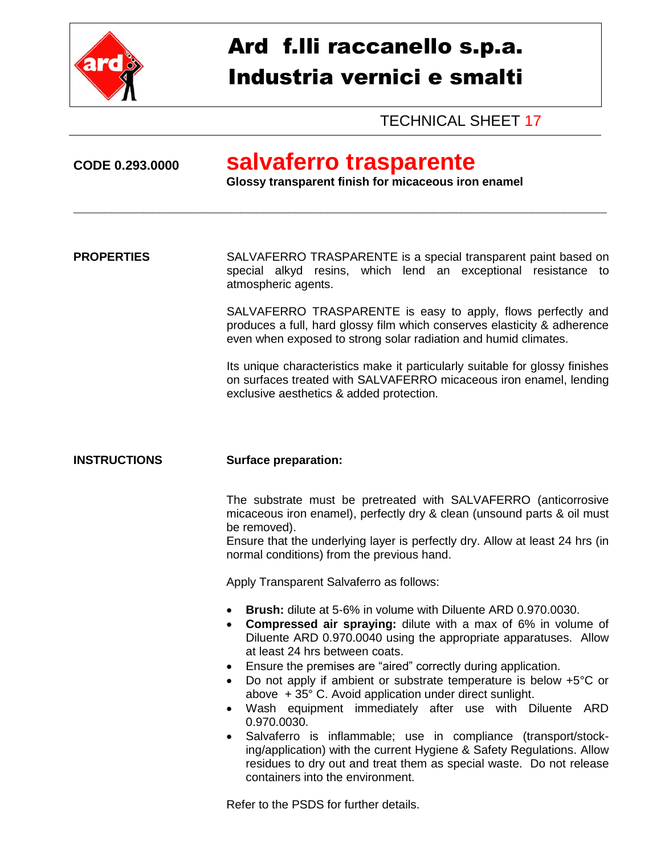

# Ard f.lli raccanello s.p.a. Industria vernici e smalti

TECHNICAL SHEET 17

## **CODE 0.293.0000 salvaferro trasparente**

**Glossy transparent finish for micaceous iron enamel**

**PROPERTIES** SALVAFERRO TRASPARENTE is a special transparent paint based on special alkyd resins, which lend an exceptional resistance to atmospheric agents.

\_\_\_\_\_\_\_\_\_\_\_\_\_\_\_\_\_\_\_\_\_\_\_\_\_\_\_\_\_\_\_\_\_\_\_\_\_\_\_\_\_\_\_\_\_\_\_\_\_\_\_\_\_\_\_\_\_\_\_\_\_\_\_\_\_\_\_\_\_\_\_\_\_\_\_\_\_\_\_\_\_\_\_\_\_\_\_\_\_\_\_\_\_\_\_\_\_\_\_

SALVAFERRO TRASPARENTE is easy to apply, flows perfectly and produces a full, hard glossy film which conserves elasticity & adherence even when exposed to strong solar radiation and humid climates.

Its unique characteristics make it particularly suitable for glossy finishes on surfaces treated with SALVAFERRO micaceous iron enamel, lending exclusive aesthetics & added protection.

### **INSTRUCTIONS Surface preparation:**

The substrate must be pretreated with SALVAFERRO (anticorrosive micaceous iron enamel), perfectly dry & clean (unsound parts & oil must be removed).

Ensure that the underlying layer is perfectly dry. Allow at least 24 hrs (in normal conditions) from the previous hand.

Apply Transparent Salvaferro as follows:

- **Brush:** dilute at 5-6% in volume with Diluente ARD 0.970.0030.
- **Compressed air spraying:** dilute with a max of 6% in volume of Diluente ARD 0.970.0040 using the appropriate apparatuses. Allow at least 24 hrs between coats.
- Ensure the premises are "aired" correctly during application.
- Do not apply if ambient or substrate temperature is below +5°C or above + 35° C. Avoid application under direct sunlight.
- Wash equipment immediately after use with Diluente ARD 0.970.0030.
- Salvaferro is inflammable; use in compliance (transport/stocking/application) with the current Hygiene & Safety Regulations. Allow residues to dry out and treat them as special waste. Do not release containers into the environment.

Refer to the PSDS for further details.